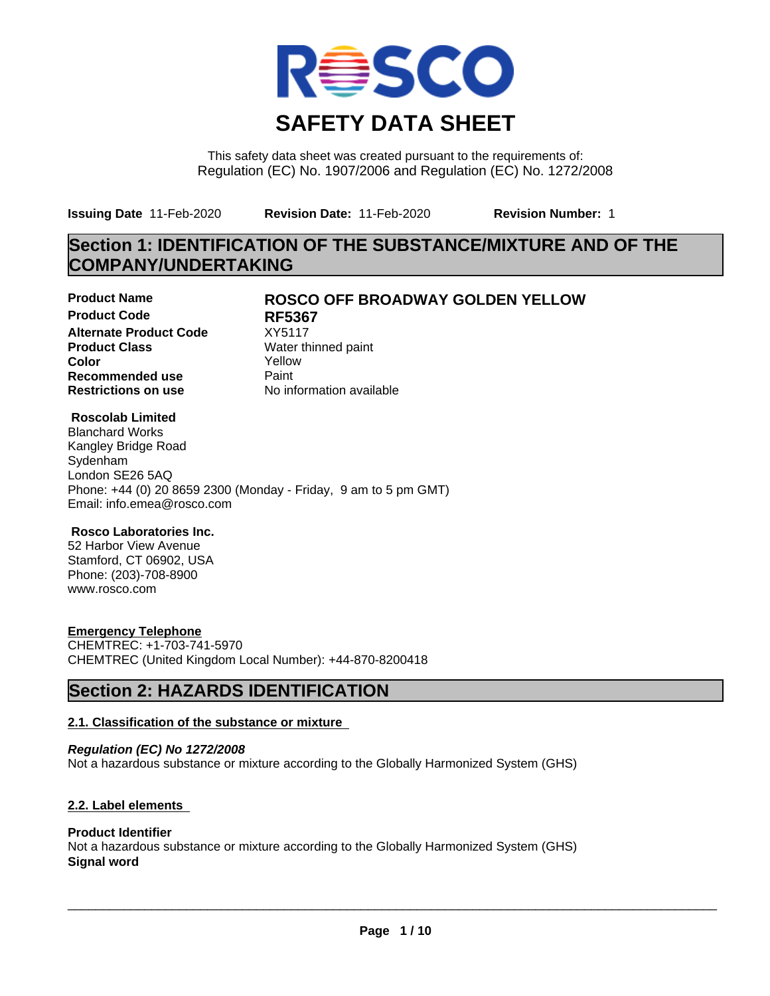

This safety data sheet was created pursuant to the requirements of: Regulation (EC) No. 1907/2006 and Regulation (EC) No. 1272/2008

**Issuing Date** 11-Feb-2020 **Revision Date:** 11-Feb-2020 **Revision Number:** 1

# **Section 1: IDENTIFICATION OF THE SUBSTANCE/MIXTURE AND OF THE COMPANY/UNDERTAKING**

**Product Code RF5367 Alternate Product Code** XY5117<br> **Product Class** Water th **Color** Yellow **Recommended use** Paint<br> **Restrictions on use** Mo information available **Restrictions on use** 

# **Product Name ROSCO OFF BROADWAY GOLDEN YELLOW**

**Water thinned paint** 

# **Roscolab Limited**

Blanchard Works Kangley Bridge Road Sydenham London SE26 5AQ Phone: +44 (0) 20 8659 2300 (Monday - Friday, 9 am to 5 pm GMT) Email: info.emea@rosco.com

# **Rosco Laboratories Inc.**

52 Harbor View Avenue Stamford, CT 06902, USA Phone: (203)-708-8900 www.rosco.com

# **Emergency Telephone**

CHEMTREC: +1-703-741-5970 CHEMTREC (United Kingdom Local Number): +44-870-8200418

# **Section 2: HAZARDS IDENTIFICATION**

# **2.1. Classification of the substance or mixture**

*Regulation (EC) No 1272/2008* Not a hazardous substance or mixture according to the Globally Harmonized System (GHS)

# **2.2. Label elements**

# **Product Identifier**

Not a hazardous substance or mixture according to the Globally Harmonized System (GHS) **Signal word**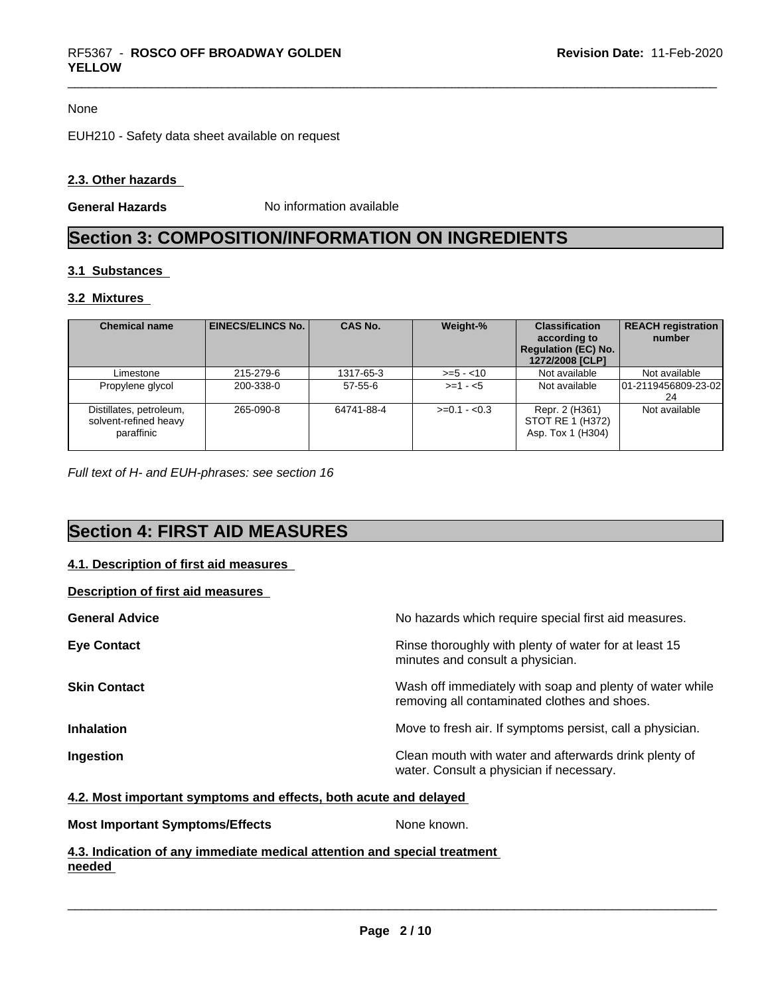#### None

EUH210 - Safety data sheet available on request

# **2.3. Other hazards**

**General Hazards** No information available

# **Section 3: COMPOSITION/INFORMATION ON INGREDIENTS**

# **3.1 Substances**

# **3.2 Mixtures**

| <b>Chemical name</b>                                           | EINECS/ELINCS No. | <b>CAS No.</b> | Weight-%      | <b>Classification</b><br>according to<br><b>Regulation (EC) No.</b><br>1272/2008 [CLP] | <b>REACH registration</b><br>number |
|----------------------------------------------------------------|-------------------|----------------|---------------|----------------------------------------------------------------------------------------|-------------------------------------|
| Limestone                                                      | 215-279-6         | 1317-65-3      | $>= 5 - 10$   | Not available                                                                          | Not available                       |
| Propylene glycol                                               | 200-338-0         | $57 - 55 - 6$  | $>= 1 - 5$    | Not available                                                                          | 01-2119456809-23-02<br>24           |
| Distillates, petroleum,<br>solvent-refined heavy<br>paraffinic | 265-090-8         | 64741-88-4     | $>=0.1 - 0.3$ | Repr. 2 (H361)<br>STOT RE 1 (H372)<br>Asp. Tox 1 (H304)                                | Not available                       |

*Full text of H- and EUH-phrases: see section 16*

# **Section 4: FIRST AID MEASURES**

# **4.1. Description of first aid measures**

| Description of first aid measures |                                                                                                          |
|-----------------------------------|----------------------------------------------------------------------------------------------------------|
| <b>General Advice</b>             | No hazards which require special first aid measures.                                                     |
| <b>Eye Contact</b>                | Rinse thoroughly with plenty of water for at least 15<br>minutes and consult a physician.                |
| <b>Skin Contact</b>               | Wash off immediately with soap and plenty of water while<br>removing all contaminated clothes and shoes. |
| <b>Inhalation</b>                 | Move to fresh air. If symptoms persist, call a physician.                                                |
| Ingestion                         | Clean mouth with water and afterwards drink plenty of<br>water. Consult a physician if necessary.        |
|                                   |                                                                                                          |

# **4.2. Most important symptoms and effects, both acute and delayed**

| None known.<br><b>Most Important Symptoms/Effects</b> |  |
|-------------------------------------------------------|--|
|-------------------------------------------------------|--|

**4.3. Indication of any immediate medical attention and special treatment needed**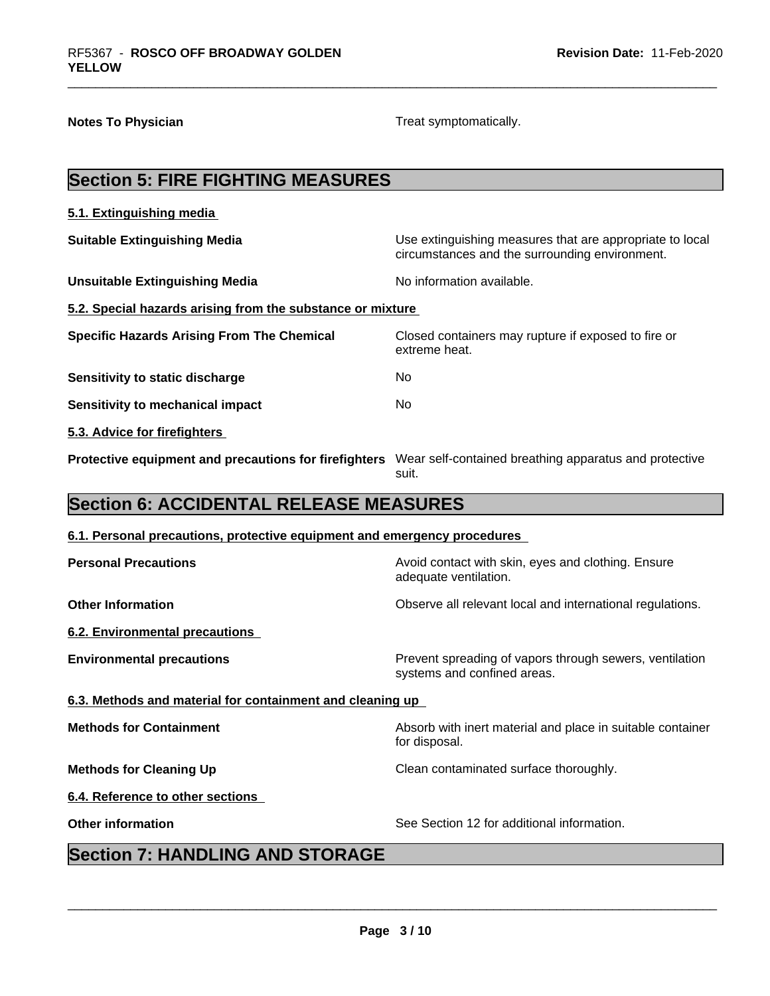**Notes To Physician Treat symptomatically.** Treat symptomatically.

| <b>Section 5: FIRE FIGHTING MEASURES</b>                                                                     |                                                                                                            |
|--------------------------------------------------------------------------------------------------------------|------------------------------------------------------------------------------------------------------------|
| 5.1. Extinguishing media                                                                                     |                                                                                                            |
| <b>Suitable Extinguishing Media</b>                                                                          | Use extinguishing measures that are appropriate to local<br>circumstances and the surrounding environment. |
| <b>Unsuitable Extinguishing Media</b>                                                                        | No information available.                                                                                  |
| 5.2. Special hazards arising from the substance or mixture                                                   |                                                                                                            |
| <b>Specific Hazards Arising From The Chemical</b>                                                            | Closed containers may rupture if exposed to fire or<br>extreme heat.                                       |
| <b>Sensitivity to static discharge</b>                                                                       | No                                                                                                         |
| <b>Sensitivity to mechanical impact</b>                                                                      | No                                                                                                         |
| 5.3. Advice for firefighters                                                                                 |                                                                                                            |
| Protective equipment and precautions for firefighters Wear self-contained breathing apparatus and protective | suit.                                                                                                      |
| <b>Section 6: ACCIDENTAL RELEASE MEASURES</b>                                                                |                                                                                                            |
| 6.1. Personal precautions, protective equipment and emergency procedures                                     |                                                                                                            |
| <b>Personal Precautions</b>                                                                                  | Avoid contact with skin, eyes and clothing. Ensure<br>adequate ventilation.                                |
| <b>Other Information</b>                                                                                     | Observe all relevant local and international regulations.                                                  |
| 6.2. Environmental precautions                                                                               |                                                                                                            |
| <b>Environmental precautions</b>                                                                             | Prevent spreading of vapors through sewers, ventilation<br>systems and confined areas.                     |
| 6.3. Methods and material for containment and cleaning up                                                    |                                                                                                            |
| <b>Methods for Containment</b>                                                                               | Absorb with inert material and place in suitable container<br>for disposal.                                |
| <b>Methods for Cleaning Up</b>                                                                               | Clean contaminated surface thoroughly.                                                                     |
|                                                                                                              |                                                                                                            |
| 6.4. Reference to other sections                                                                             |                                                                                                            |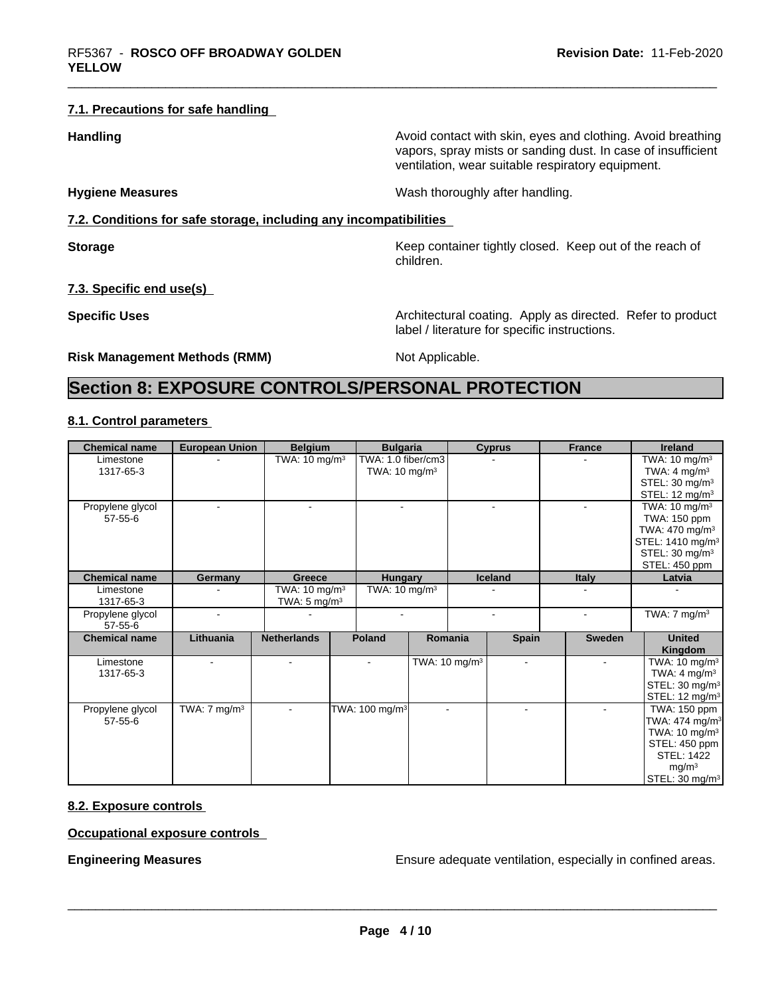### **7.1. Precautions for safe handling**

**Handling Handling Avoid contact with skin, eyes and clothing. Avoid breathing** 

**Hygiene Measures Mash thoroughly after handling.** Wash thoroughly after handling.

# **7.2. Conditions for safe storage, including any incompatibilities**

**Storage** Storage **Keep container tightly closed.** Keep out of the reach of children.

vapors, spray mists or sanding dust. In case of insufficient

ventilation, wear suitable respiratory equipment.

**7.3. Specific end use(s)**

**Specific Uses Architectural coating. Apply as directed. Refer to product Specific Uses** label / literature for specific instructions.

**Risk Management Methods (RMM)** Not Applicable.

# **Section 8: EXPOSURE CONTROLS/PERSONAL PROTECTION**

# **8.1. Control parameters**

| <b>Chemical name</b>              | <b>European Union</b>   | <b>Belgium</b>                                       |  | <b>Bulgaria</b>                                |                           |  | <b>Cyprus</b>            | <b>France</b>            | Ireland                                                                                                                                                                           |  |  |  |  |  |  |  |                                                                                  |
|-----------------------------------|-------------------------|------------------------------------------------------|--|------------------------------------------------|---------------------------|--|--------------------------|--------------------------|-----------------------------------------------------------------------------------------------------------------------------------------------------------------------------------|--|--|--|--|--|--|--|----------------------------------------------------------------------------------|
| Limestone<br>1317-65-3            |                         | TWA: $10 \text{ mg/m}^3$                             |  | TWA: 1.0 fiber/cm3<br>TWA: $10 \text{ mg/m}^3$ |                           |  |                          |                          |                                                                                                                                                                                   |  |  |  |  |  |  |  | TWA: $10 \text{ mg/m}^3$<br>TWA: $4 \text{ mg/m}^3$<br>STEL: $30 \text{ mg/m}^3$ |
| Propylene glycol<br>$57 - 55 - 6$ |                         | $\sim$                                               |  |                                                |                           |  |                          |                          | STEL: $12 \text{ mg/m}^3$<br>TWA: $10 \text{ mg/m}^3$<br>TWA: 150 ppm<br>TWA: $470 \text{ mg/m}^3$<br>STEL: 1410 mg/m <sup>3</sup><br>STEL: 30 mg/m <sup>3</sup><br>STEL: 450 ppm |  |  |  |  |  |  |  |                                                                                  |
| <b>Chemical name</b>              | Germany                 | <b>Greece</b>                                        |  | <b>Hungary</b>                                 |                           |  | <b>Iceland</b>           | <b>Italy</b>             | Latvia                                                                                                                                                                            |  |  |  |  |  |  |  |                                                                                  |
| Limestone<br>1317-65-3            |                         | TWA: 10 mg/m <sup>3</sup><br>TWA: $5 \text{ mg/m}^3$ |  | TWA: $10 \text{ mg/m}^3$                       |                           |  |                          |                          |                                                                                                                                                                                   |  |  |  |  |  |  |  |                                                                                  |
| Propylene glycol<br>$57 - 55 - 6$ |                         |                                                      |  | $\blacksquare$                                 |                           |  |                          |                          | TWA: $7 \text{ mg/m}^3$                                                                                                                                                           |  |  |  |  |  |  |  |                                                                                  |
| <b>Chemical name</b>              | Lithuania               | <b>Netherlands</b>                                   |  | <b>Poland</b>                                  | Romania                   |  | <b>Spain</b>             | Sweden                   | <b>United</b><br>Kingdom                                                                                                                                                          |  |  |  |  |  |  |  |                                                                                  |
| Limestone<br>1317-65-3            |                         | $\overline{\phantom{a}}$                             |  |                                                | TWA: 10 mg/m <sup>3</sup> |  | $\overline{\phantom{a}}$ |                          | TWA: $10 \text{ mg/m}^3$<br>TWA: $4 \text{ mg/m}^3$<br>STEL: 30 mg/m <sup>3</sup><br>STEL: 12 mg/m <sup>3</sup>                                                                   |  |  |  |  |  |  |  |                                                                                  |
| Propylene glycol<br>$57 - 55 - 6$ | TWA: $7 \text{ mg/m}^3$ | $\overline{\phantom{a}}$                             |  | TWA: 100 mg/m <sup>3</sup>                     |                           |  |                          | $\overline{\phantom{a}}$ | TWA: 150 ppm<br>TWA: $474$ mg/m <sup>3</sup><br>TWA: $10 \text{ mg/m}^3$<br>STEL: 450 ppm<br>STEL: 1422<br>mg/m <sup>3</sup><br>STEL: 30 mg/m <sup>3</sup>                        |  |  |  |  |  |  |  |                                                                                  |

# **8.2. Exposure controls**

**Occupational exposure controls**

**Engineering Measures Ensure 2018** Ensure adequate ventilation, especially in confined areas.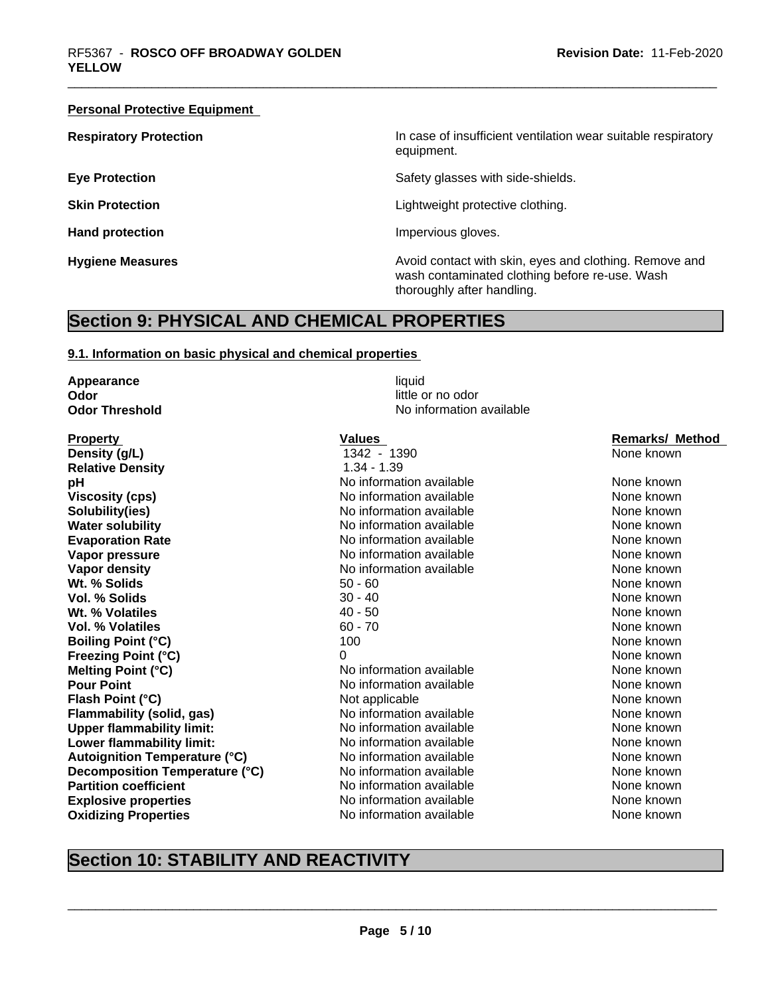#### **Personal Protective Equipment**

**Respiratory Protection In case of insufficient ventilation wear suitable respiratory** equipment.

**Eye Protection** Safety glasses with side-shields.

**Skin Protection Skin Protection Lightweight protective clothing.** 

**Hand protection Impervious gloves.** 

**Hygiene Measures Avoid contact with skin, eyes and clothing. Remove and Hygiene Measures** and clothing. Remove and wash contaminated clothing before re-use. Wash thoroughly after handling.

# **Section 9: PHYSICAL AND CHEMICAL PROPERTIES**

#### **9.1. Information on basic physical and chemical properties**

**Appearance** liquid **Odor** little or no odor<br> **Odor Threshold Codor Codor Interval 
<b>Codor Codor Codor Codor Codor Codor Codor Codor Codor Codor Codor Codor Codor Codor Codor Codor Codor**

**Property Construction Construction Construction Values Values Construction Construction Remarks/ Method Density (g/L)** 1342 - 1390 None known **Relative Density** 1.34 - 1.39 **pH bH** No information available None known None known **Viscosity (cps)** No information available None known<br>
No information available None Known<br>
None known **Solubility(ies)** No information available None known **Water solubility** Note 2008 Note 2012 Note 100 None known None known None known None known **Evaporation Rate No information available Noting the Series Algebra Research Algebra Research Algebra Research Algebra Research Algebra Research Algebra Research Algebra Research Algebra Research Algebra Research Alge Vapor pressure** No information available None known None known **Vapor density Notify Arrough Manufather Medicine Control** None known<br> **1990 - Manufather Medicine Arrough Medicine Solidistic Control Operation** available<br>
1990 - 60 **Wt. % Solids** Fig. 1. The set of the set of the set of the set of the set of the set of the set of the set of the set of the set of the set of the set of the set of the set of the set of the set of the set of the set of t **Vol. % Solids** 30 - 40 None known **Wt. % Volatiles 40 - 50** None known **William Strutter Manufacturer 10 None known Vol. % Volatiles** 60 - 70 None known None known **Boiling Point (°C)** 100 100 None known **Freezing Point (°C)** 0 None known **Melting Point (°C)** No information available None known **Pour Point** No information available None known None known **Flash Point (°C) Not applicable Mone Known None known None known Flammability (solid, gas)** No information available None Known None known **Upper flammability limit:** No information available None known None known **Lower flammability limit:** No information available None known None known **Autoignition Temperature (°C)** No information available None Known None known **Decomposition Temperature (°C)** No information available None Known None known **Partition coefficient No information available** None known **Explosive properties** No information available None known None known **Oxidizing Properties No information available** None known

**No information available** 

# **Section 10: STABILITY AND REACTIVITY**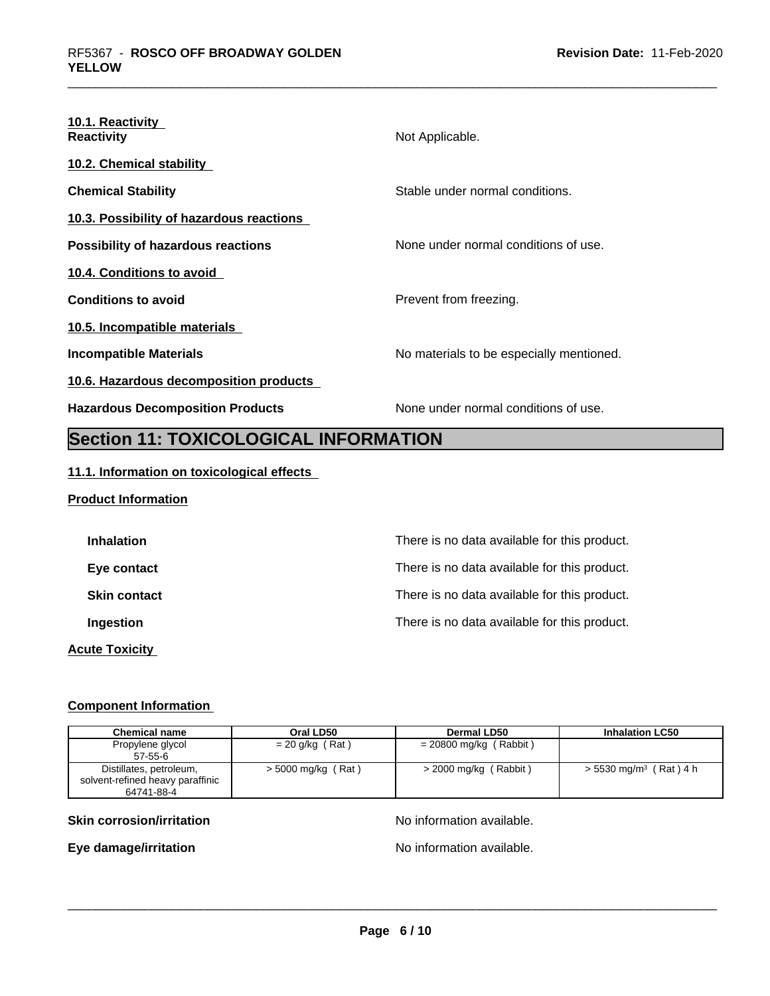| 10.1. Reactivity<br><b>Reactivity</b>     | Not Applicable.                          |
|-------------------------------------------|------------------------------------------|
| <b>10.2. Chemical stability</b>           |                                          |
| <b>Chemical Stability</b>                 | Stable under normal conditions.          |
| 10.3. Possibility of hazardous reactions  |                                          |
| <b>Possibility of hazardous reactions</b> | None under normal conditions of use.     |
| 10.4. Conditions to avoid                 |                                          |
| <b>Conditions to avoid</b>                | Prevent from freezing.                   |
| 10.5. Incompatible materials              |                                          |
| Incompatible Materials                    | No materials to be especially mentioned. |
| 10.6. Hazardous decomposition products    |                                          |
| <b>Hazardous Decomposition Products</b>   | None under normal conditions of use.     |

# **Section 11: TOXICOLOGICAL INFORMATION**

# **11.1. Information on toxicological effects**

# **Product Information Inhalation Inhalation Inhalation There** is no data available for this product. **Eye contact** Exercise **There** is no data available for this product. **Skin contact** There is no data available for this product. **Ingestion Ingestion Ingestion There** is no data available for this product. **Acute Toxicity**

# **Component Information**

| <b>Chemical name</b>             | Oral LD50          | Dermal LD50              | <b>Inhalation LC50</b>               |
|----------------------------------|--------------------|--------------------------|--------------------------------------|
| Propylene glycol                 | $= 20$ g/kg (Rat)  | $= 20800$ mg/kg (Rabbit) |                                      |
| $57-55-6$                        |                    |                          |                                      |
| Distillates, petroleum,          | > 5000 mg/kg (Rat) | > 2000 mg/kg (Rabbit)    | $> 5530$ mg/m <sup>3</sup> (Rat) 4 h |
| solvent-refined heavy paraffinic |                    |                          |                                      |
| 64741-88-4                       |                    |                          |                                      |

# **Skin corrosion/irritation No information available.** No information available.

**Eye damage/irritation No information available.**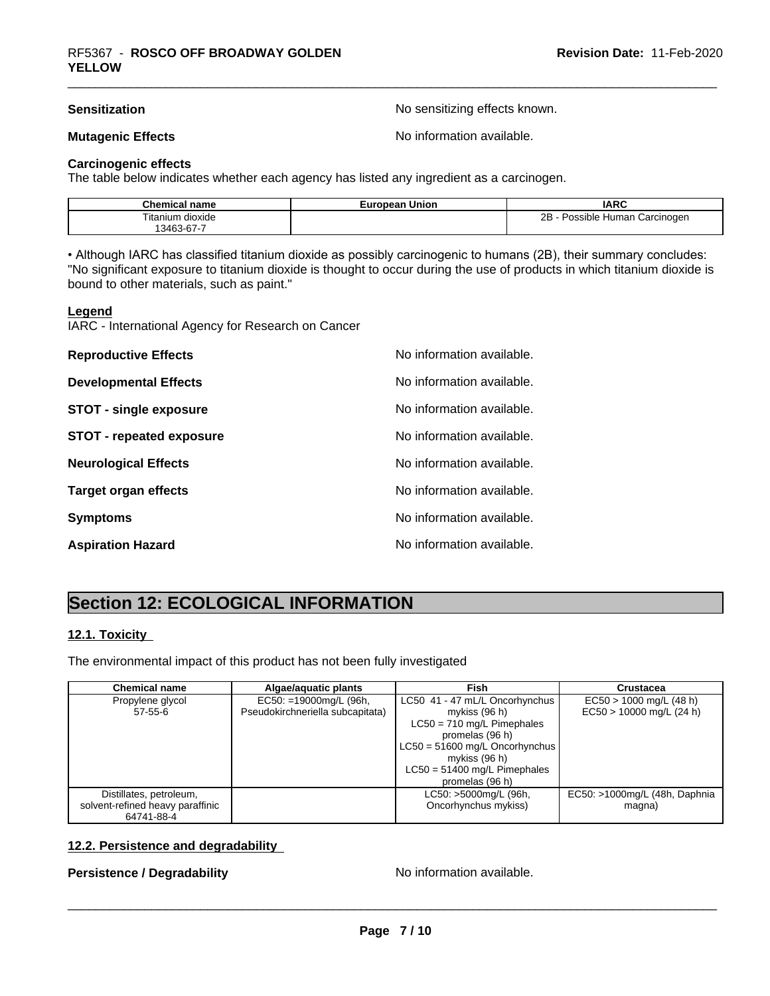**Sensitization Sensitization No sensitizing effects known.** 

**Mutagenic Effects Mutagenic Effects No information available.** 

# **Carcinogenic effects**

The table below indicates whether each agency has listed any ingredient as a carcinogen.

| name<br>шса               | - - - -<br>Union<br>rean<br>–ur | <b>IARC</b>                                           |
|---------------------------|---------------------------------|-------------------------------------------------------|
| <b>itanium</b><br>dioxide |                                 | <br>Carcinoden<br>ıble<br>. luman<br>، مد<br>.<br>. . |
| $3463-67 -$               |                                 |                                                       |

• Although IARC has classified titanium dioxide as possibly carcinogenic to humans (2B), their summary concludes: "No significant exposure to titanium dioxide is thought to occur during the use of products in which titanium dioxide is bound to other materials, such as paint."

#### **Legend**

IARC - International Agency for Research on Cancer

| <b>Reproductive Effects</b>     | No information available. |
|---------------------------------|---------------------------|
| <b>Developmental Effects</b>    | No information available. |
| <b>STOT - single exposure</b>   | No information available. |
| <b>STOT - repeated exposure</b> | No information available. |
| <b>Neurological Effects</b>     | No information available. |
| <b>Target organ effects</b>     | No information available. |
| <b>Symptoms</b>                 | No information available. |
| <b>Aspiration Hazard</b>        | No information available. |

# **Section 12: ECOLOGICAL INFORMATION**

# **12.1. Toxicity**

The environmental impact of this product has not been fully investigated

| <b>Chemical name</b>             | Algae/aquatic plants             | Fish                             | <b>Crustacea</b>              |
|----------------------------------|----------------------------------|----------------------------------|-------------------------------|
| Propylene glycol                 | $EC50: =19000mg/L$ (96h,         | LC50 41 - 47 mL/L Oncorhynchus   | $EC50 > 1000$ mg/L (48 h)     |
| $57 - 55 - 6$                    | Pseudokirchneriella subcapitata) | mykiss (96 h)                    | $EC50 > 10000$ mg/L (24 h)    |
|                                  |                                  | $LC50 = 710$ mg/L Pimephales     |                               |
|                                  |                                  | promelas (96 h)                  |                               |
|                                  |                                  | $LC50 = 51600$ mg/L Oncorhynchus |                               |
|                                  |                                  | mykiss $(96 h)$                  |                               |
|                                  |                                  | $LC50 = 51400$ mg/L Pimephales   |                               |
|                                  |                                  | promelas (96 h)                  |                               |
| Distillates, petroleum,          |                                  | LC50: >5000mg/L (96h,            | EC50: >1000mg/L (48h, Daphnia |
| solvent-refined heavy paraffinic |                                  | Oncorhynchus mykiss)             | magna)                        |
| 64741-88-4                       |                                  |                                  |                               |

# **12.2. Persistence and degradability**

# **Persistence / Degradability** No information available.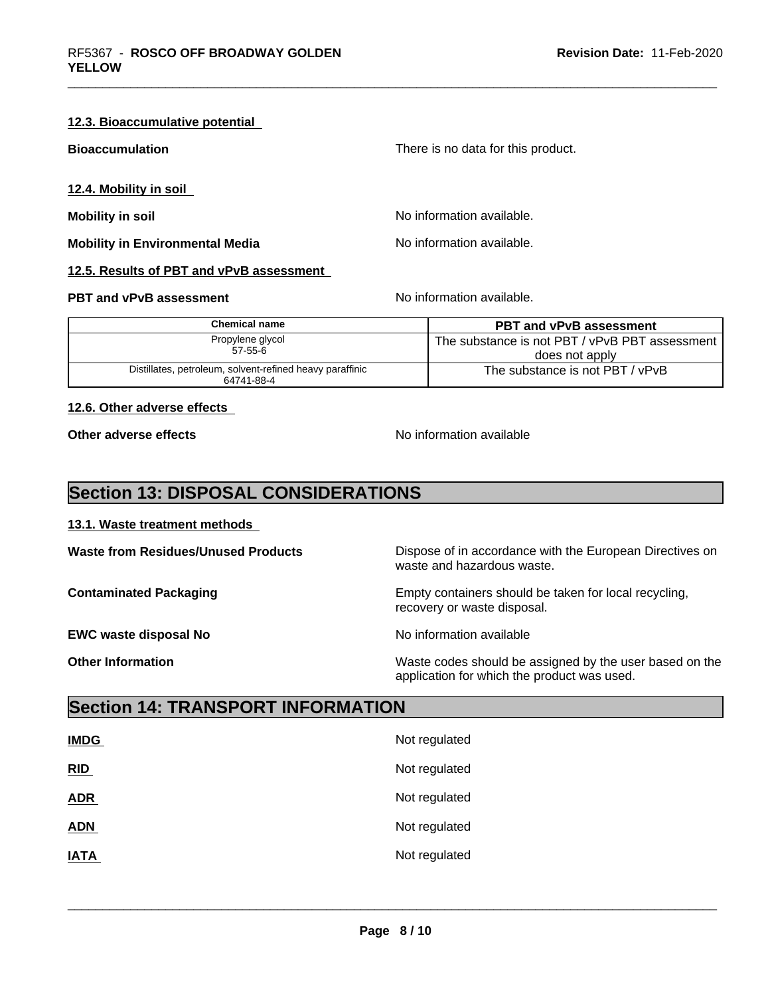### **12.3. Bioaccumulative potential**

| <b>Bioaccumulation</b>                   | There is no data for this product. |
|------------------------------------------|------------------------------------|
| 12.4. Mobility in soil                   |                                    |
| Mobility in soil                         | No information available.          |
| <b>Mobility in Environmental Media</b>   | No information available.          |
| 12.5. Results of PBT and vPvB assessment |                                    |

# **PBT and vPvB assessment** No information available.

| Chemical name                                                          | <b>PBT and vPvB assessment</b>                   |
|------------------------------------------------------------------------|--------------------------------------------------|
| Propylene glycol                                                       | The substance is not PBT / vPvB PBT assessment I |
| $57 - 55 - 6$                                                          | does not apply                                   |
| Distillates, petroleum, solvent-refined heavy paraffinic<br>64741-88-4 | The substance is not PBT / vPvB                  |

# **12.6. Other adverse effects**

**Other adverse effects** No information available

# **Section 13: DISPOSAL CONSIDERATIONS**

# **13.1. Waste treatment methods**

**EWC waste disposal No No information available EWC** waste disposal No

**Waste from Residues/Unused Products** Dispose of in accordance with the European Directives on waste and hazardous waste.

**Contaminated Packaging Empty containers should be taken for local recycling,** recovery or waste disposal.

 $\overline{\phantom{a}}$  ,  $\overline{\phantom{a}}$  ,  $\overline{\phantom{a}}$  ,  $\overline{\phantom{a}}$  ,  $\overline{\phantom{a}}$  ,  $\overline{\phantom{a}}$  ,  $\overline{\phantom{a}}$  ,  $\overline{\phantom{a}}$  ,  $\overline{\phantom{a}}$  ,  $\overline{\phantom{a}}$  ,  $\overline{\phantom{a}}$  ,  $\overline{\phantom{a}}$  ,  $\overline{\phantom{a}}$  ,  $\overline{\phantom{a}}$  ,  $\overline{\phantom{a}}$  ,  $\overline{\phantom{a}}$ 

**Other Information Other Information Internation Waste codes should be assigned by the user based on the** application for which the product was used.

# **Section 14: TRANSPORT INFORMATION**

| <b>IMDG</b> | Not regulated |
|-------------|---------------|
| RID         | Not regulated |
| <b>ADR</b>  | Not regulated |
| <b>ADN</b>  | Not regulated |
| <b>IATA</b> | Not regulated |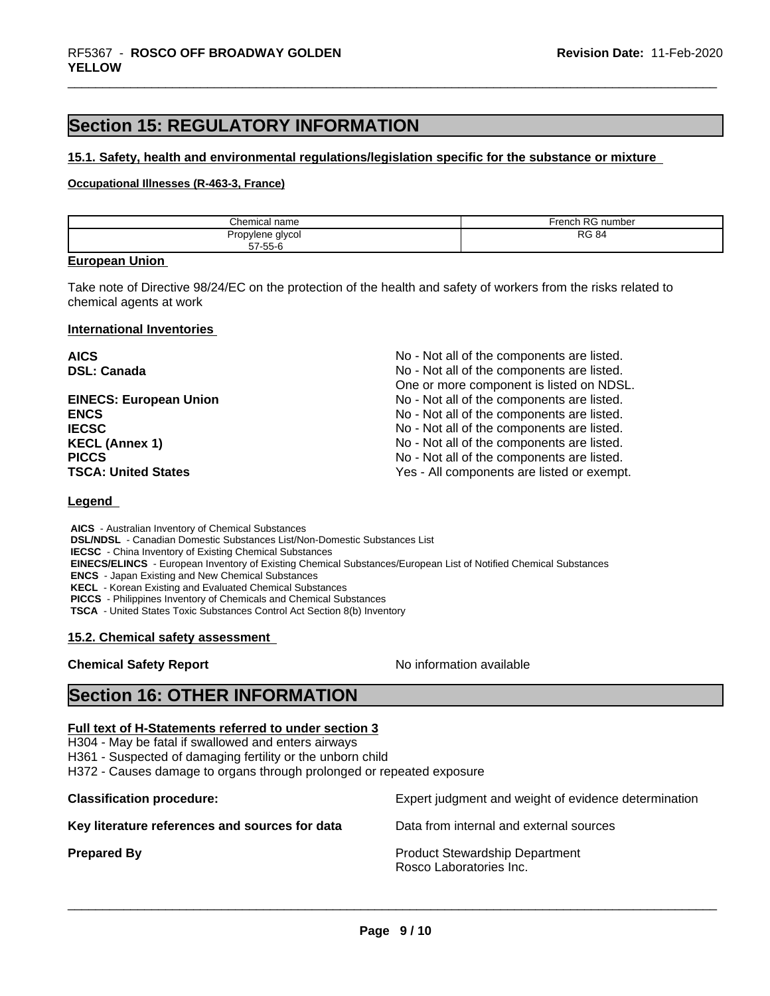# **Section 15: REGULATORY INFORMATION**

#### **15.1. Safety, health and environmental regulations/legislation specific for the substance or mixture**

# **Occupational Illnesses (R-463-3, France)**

| Chemical<br>name                        | D <sub>C</sub><br>∙rench<br>. RG number |
|-----------------------------------------|-----------------------------------------|
| Propylene<br>glycol<br>.<br>$  -$<br>-- | <b>RG 84</b><br>___                     |
| 57-55-6                                 |                                         |

#### **European Union**

Take note of Directive 98/24/EC on the protection of the health and safety of workers from the risks related to chemical agents at work

#### **International Inventories**

| <b>AICS</b>                   | No - Not all of the components are listed. |
|-------------------------------|--------------------------------------------|
| <b>DSL: Canada</b>            | No - Not all of the components are listed. |
|                               | One or more component is listed on NDSL.   |
| <b>EINECS: European Union</b> | No - Not all of the components are listed. |
| <b>ENCS</b>                   | No - Not all of the components are listed. |
| <b>IECSC</b>                  | No - Not all of the components are listed. |
| <b>KECL (Annex 1)</b>         | No - Not all of the components are listed. |
| <b>PICCS</b>                  | No - Not all of the components are listed. |
| <b>TSCA: United States</b>    | Yes - All components are listed or exempt. |

#### **Legend**

 **AICS** - Australian Inventory of Chemical Substances  **DSL/NDSL** - Canadian Domestic Substances List/Non-Domestic Substances List  **IECSC** - China Inventory of Existing Chemical Substances  **EINECS/ELINCS** - European Inventory of Existing Chemical Substances/European List of Notified Chemical Substances  **ENCS** - Japan Existing and New Chemical Substances  **KECL** - Korean Existing and Evaluated Chemical Substances  **PICCS** - Philippines Inventory of Chemicals and Chemical Substances  **TSCA** - United States Toxic Substances Control Act Section 8(b) Inventory

#### **15.2. Chemical safety assessment**

# **Chemical Safety Report** No information available

 $\overline{\phantom{a}}$  ,  $\overline{\phantom{a}}$  ,  $\overline{\phantom{a}}$  ,  $\overline{\phantom{a}}$  ,  $\overline{\phantom{a}}$  ,  $\overline{\phantom{a}}$  ,  $\overline{\phantom{a}}$  ,  $\overline{\phantom{a}}$  ,  $\overline{\phantom{a}}$  ,  $\overline{\phantom{a}}$  ,  $\overline{\phantom{a}}$  ,  $\overline{\phantom{a}}$  ,  $\overline{\phantom{a}}$  ,  $\overline{\phantom{a}}$  ,  $\overline{\phantom{a}}$  ,  $\overline{\phantom{a}}$ 

# **Section 16: OTHER INFORMATION**

# **Full text of H-Statements referred to under section 3**

H304 - May be fatal if swallowed and enters airways

H361 - Suspected of damaging fertility or the unborn child

H372 - Causes damage to organs through prolonged or repeated exposure

**Classification procedure:** Expert judgment and weight of evidence determination **Key literature references and sources for data** Data from internal and external sources **Prepared By Product Stewardship Department** Rosco Laboratories Inc.